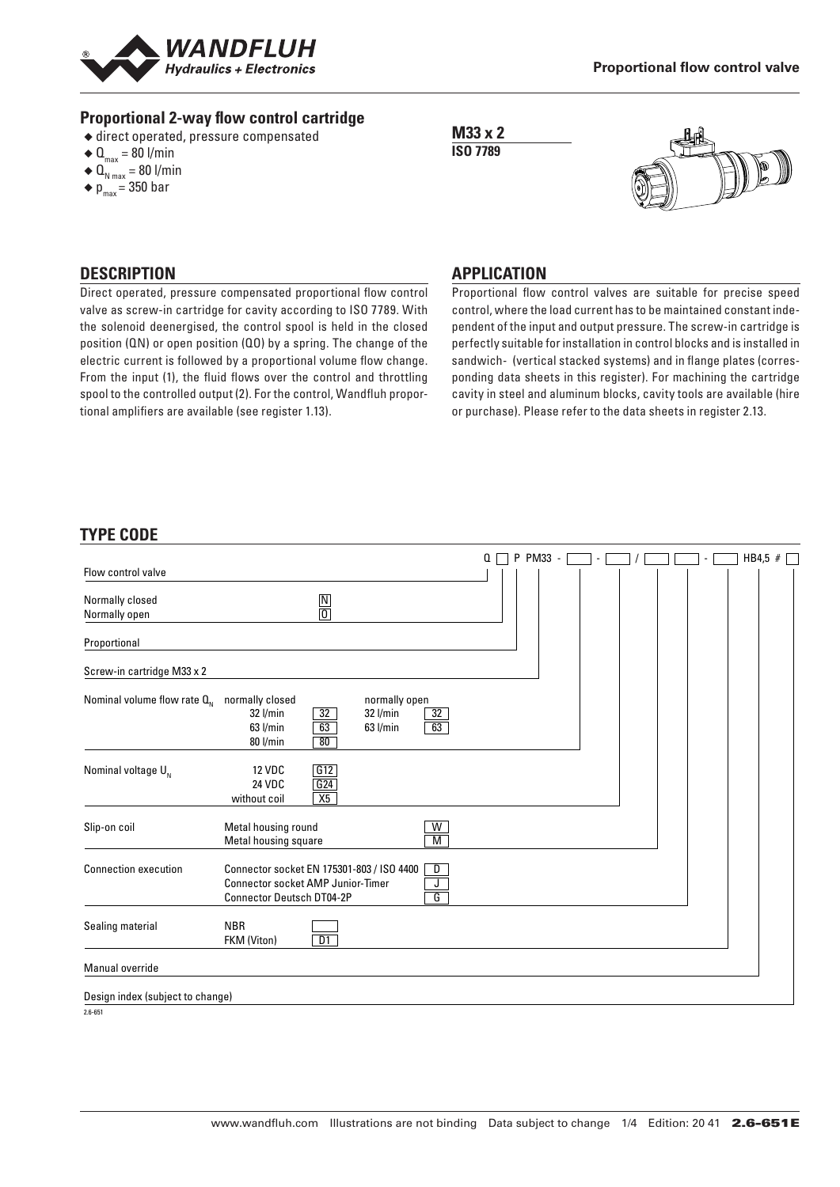

#### **Proportional 2-way flow control cartridge**

- ◆ direct operated, pressure compensated
- $\triangleleft \mathbf{Q}_{\text{max}} = 80 \text{ I/min}$
- $\triangleleft$  Q<sub>N max</sub> = 80 l/min
- $\bullet$  p<sub>max</sub> = 350 bar

**M33 x 2 ISO 7789**



### **DESCRIPTION**

Direct operated, pressure compensated proportional flow control valve as screw-in cartridge for cavity according to ISO 7789. With the solenoid deenergised, the control spool is held in the closed position (QN) or open position (QO) by a spring. The change of the electric current is followed by a proportional volume flow change. From the input (1), the fluid flows over the control and throttling spool to the controlled output (2). For the control, Wandfluh proportional amplifiers are available (see register 1.13).

#### **APPLICATION**

Proportional flow control valves are suitable for precise speed control, where the load current has to be maintained constant independent of the input and output pressure. The screw-in cartridge is perfectly suitable for installation in control blocks and is installed in sandwich- (vertical stacked systems) and in flange plates (corresponding data sheets in this register). For machining the cartridge cavity in steel and aluminum blocks, cavity tools are available (hire or purchase). Please refer to the data sheets in register 2.13.

## **TYPE CODE**

|                                  |                                                                                                                                                                | Q<br>P | PM33 - |  |  |  | HB4,5 # |  |
|----------------------------------|----------------------------------------------------------------------------------------------------------------------------------------------------------------|--------|--------|--|--|--|---------|--|
| Flow control valve               |                                                                                                                                                                |        |        |  |  |  |         |  |
| Normally closed<br>Normally open | $\frac{N}{0}$                                                                                                                                                  |        |        |  |  |  |         |  |
| Proportional                     |                                                                                                                                                                |        |        |  |  |  |         |  |
| Screw-in cartridge M33 x 2       |                                                                                                                                                                |        |        |  |  |  |         |  |
| Nominal volume flow rate $Q_{N}$ | normally closed<br>normally open<br>32<br>32 l/min<br>32 l/min<br>32<br>63<br>63<br>63 l/min<br>63 l/min<br>80 l/min<br>80                                     |        |        |  |  |  |         |  |
| Nominal voltage $U_{N}$          | G12<br><b>12 VDC</b><br>G24<br><b>24 VDC</b><br>X5<br>without coil                                                                                             |        |        |  |  |  |         |  |
| Slip-on coil                     | Metal housing round<br>$\overline{W}$<br>Metal housing square<br>$\overline{M}$                                                                                |        |        |  |  |  |         |  |
| <b>Connection execution</b>      | Connector socket EN 175301-803 / ISO 4400<br>D<br>J<br><b>Connector socket AMP Junior-Timer</b><br>$\overline{\mathsf{G}}$<br><b>Connector Deutsch DT04-2P</b> |        |        |  |  |  |         |  |
| Sealing material                 | <b>NBR</b><br>$\overline{D1}$<br>FKM (Viton)                                                                                                                   |        |        |  |  |  |         |  |
| Manual override                  |                                                                                                                                                                |        |        |  |  |  |         |  |
| Design index (subject to change) |                                                                                                                                                                |        |        |  |  |  |         |  |
| $2.6 - 651$                      |                                                                                                                                                                |        |        |  |  |  |         |  |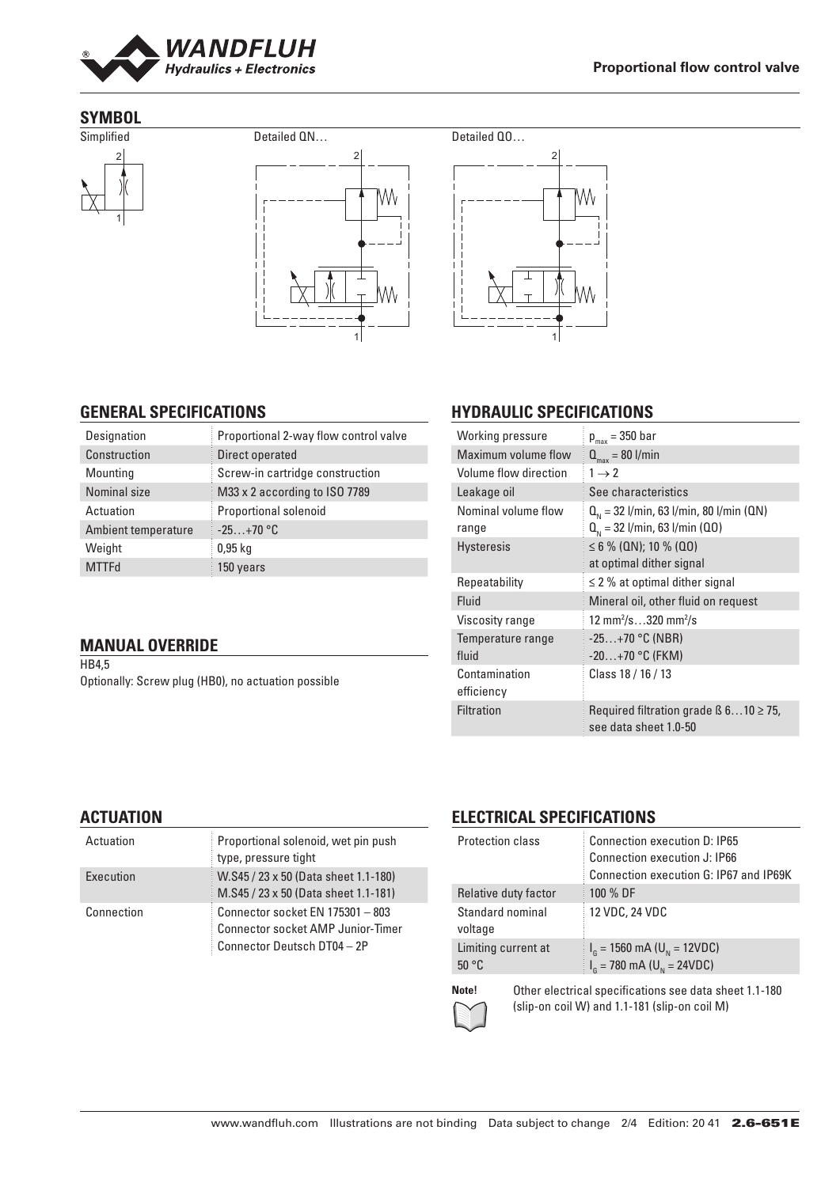

### **SYMBOL**







# **HYDRAULIC SPECIFICATIONS**

| Working pressure             | $p_{max}$ = 350 bar                                                              |
|------------------------------|----------------------------------------------------------------------------------|
| Maximum volume flow          | $Q_{\text{max}} = 80$ l/min                                                      |
| Volume flow direction        | $1 \rightarrow 2$                                                                |
| Leakage oil                  | See characteristics                                                              |
| Nominal volume flow<br>range | $Q_{N}$ = 32 l/min, 63 l/min, 80 l/min (QN)<br>$Q_{N}$ = 32 l/min, 63 l/min (Q0) |
| <b>Hysteresis</b>            | $\leq 6$ % (QN); 10 % (QO)<br>at optimal dither signal                           |
| Repeatability                | $\leq$ 2 % at optimal dither signal                                              |
| Fluid                        | Mineral oil, other fluid on request                                              |
| Viscosity range              | 12 mm <sup>2</sup> /s320 mm <sup>2</sup> /s                                      |
| Temperature range<br>fluid   | $-25+70$ °C (NBR)<br>$-20+70$ °C (FKM)                                           |
| Contamination<br>efficiency  | Class 18 / 16 / 13                                                               |
| Filtration                   | Required filtration grade $\beta$ 610 $\geq$ 75,<br>see data sheet 1.0-50        |

## **GENERAL SPECIFICATIONS** Designation **Proportional 2-way flow control valve**

| ___                 |                                 |
|---------------------|---------------------------------|
| Construction        | Direct operated                 |
| Mounting            | Screw-in cartridge construction |
| Nominal size        | M33 x 2 according to ISO 7789   |
| Actuation           | Proportional solenoid           |
| Ambient temperature | $-25+70$ °C                     |
| Weight              | $0.95$ kg                       |
| <b>MTTFd</b>        | 150 years                       |
|                     |                                 |

### **MANUAL OVERRIDE**

HB4,5 Optionally: Screw plug (HB0), no actuation possible

## **ACTUATION**

| Actuation  | Proportional solenoid, wet pin push<br>type, pressure tight                                                 |
|------------|-------------------------------------------------------------------------------------------------------------|
| Execution  | W.S45 / 23 x 50 (Data sheet 1.1-180)<br>M.S45 / 23 x 50 (Data sheet 1.1-181)                                |
| Connection | Connector socket EN 175301 - 803<br><b>Connector socket AMP Junior-Timer</b><br>Connector Deutsch DT04 - 2P |

# **ELECTRICAL SPECIFICATIONS**

| Protection class             | Connection execution D: IP65<br><b>Connection execution J: IP66</b><br>Connection execution G: IP67 and IP69K |
|------------------------------|---------------------------------------------------------------------------------------------------------------|
| Relative duty factor         | 100 % DF                                                                                                      |
| Standard nominal<br>voltage  | 12 VDC, 24 VDC                                                                                                |
| Limiting current at<br>50 °C | $I_{\rm g}$ = 1560 mA (U <sub>N</sub> = 12VDC)<br>$I_{\rm g}$ = 780 mA (U <sub>N</sub> = 24VDC)               |



**Note!** Other electrical specifications see data sheet 1.1-180 (slip-on coil W) and 1.1-181 (slip-on coil M)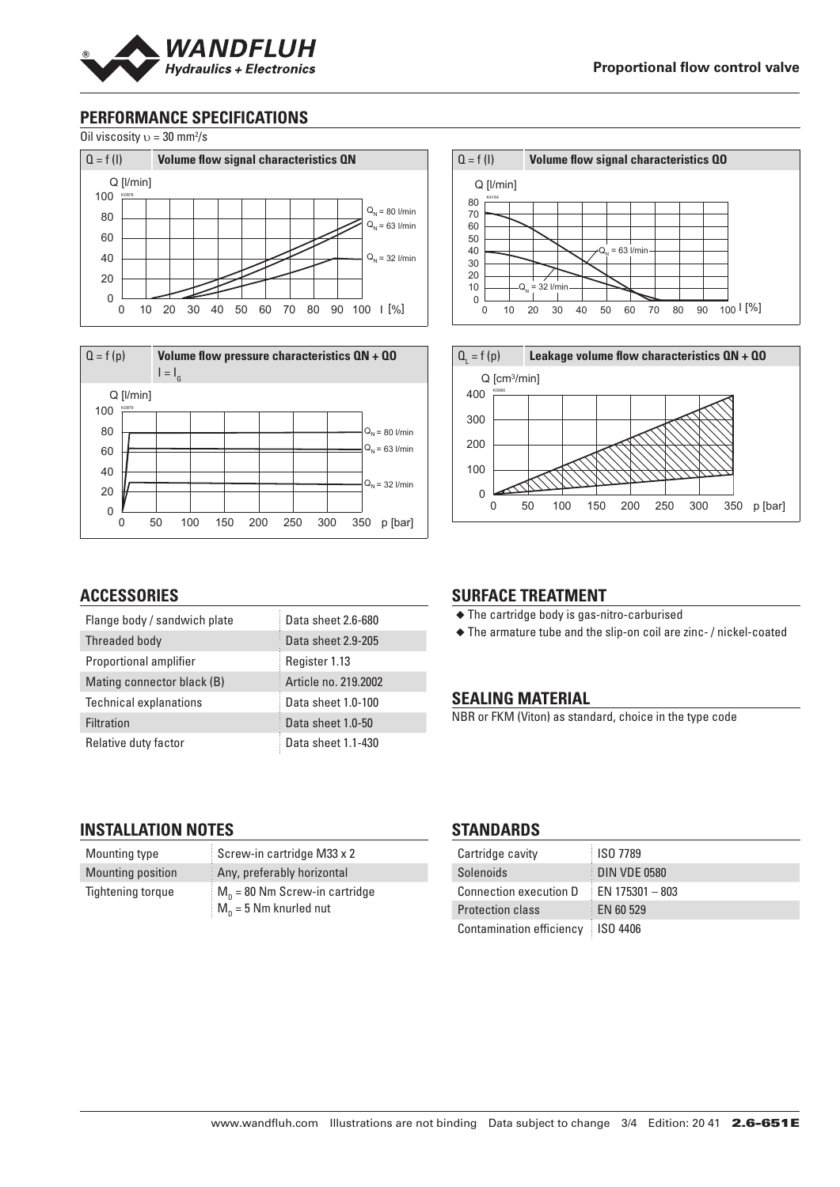

## **PERFORMANCE SPECIFICATIONS**

Oil viscosity  $v = 30$  mm<sup>2</sup>/s





## **ACCESSORIES**

| Flange body / sandwich plate  | Data sheet 2.6-680   |
|-------------------------------|----------------------|
| Threaded body                 | Data sheet 2.9-205   |
| Proportional amplifier        | Register 1.13        |
| Mating connector black (B)    | Article no. 219,2002 |
| <b>Technical explanations</b> | Data sheet 1.0-100   |
| Filtration                    | Data sheet 1.0-50    |
| Relative duty factor          | Data sheet 1.1-430   |

#### ◆ The cartridge body is gas-nitro-carburised ◆ The armature tube and the slip-on coil are zinc- / nickel-coated

**SURFACE TREATMENT**

#### **SEALING MATERIAL**

NBR or FKM (Viton) as standard, choice in the type code

Q = f (I) **Volume flow signal characteristics QO**

0 10 20 30 40 50 60 70 80 90 100 I [%]

**Leakage volume flow characteristics QN + QO** 

0 50 100 150 200 250 300 350 p [bar]

 $Q_{.} = 63$  l/min

K4164 Q [l/min]

 $-Q_N = 32$  l/min

 $Q_i = f(p)$ 

K0980 Q [cm3/min]

### **INSTALLATION NOTES**

| Mounting type            | Screw-in cartridge M33 x 2                                               |
|--------------------------|--------------------------------------------------------------------------|
| Mounting position        | Any, preferably horizontal                                               |
| <b>Tightening torque</b> | $M_{\rm o}$ = 80 Nm Screw-in cartridge<br>$M_{\rm p}$ = 5 Nm knurled nut |

#### **STANDARDS**

| Cartridge cavity         | <b>ISO 7789</b>     |
|--------------------------|---------------------|
| Solenoids                | <b>DIN VDE 0580</b> |
| Connection execution D   | $E$ EN 175301 - 803 |
| <b>Protection class</b>  | EN 60 529           |
| Contamination efficiency | <b>ISO 4406</b>     |